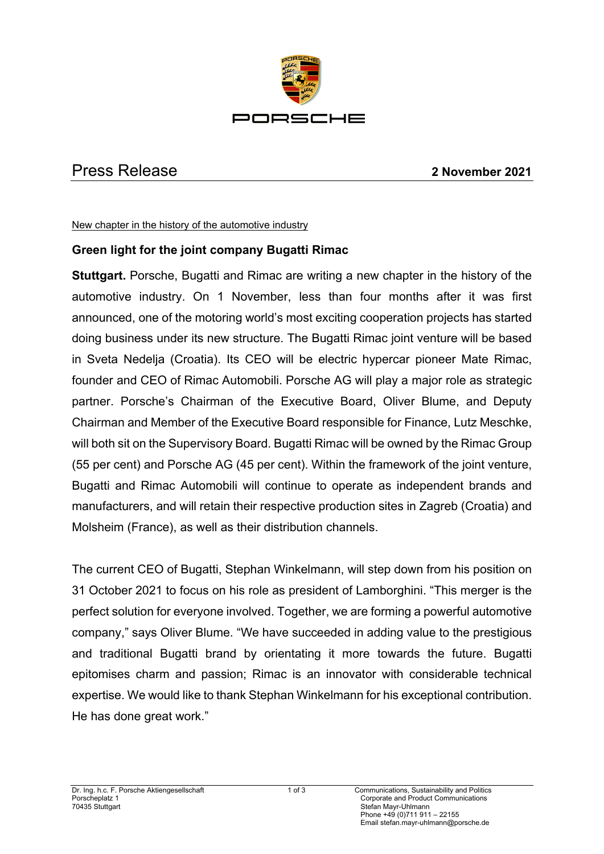

## Press Release **2 November 2021**

New chapter in the history of the automotive industry

## **Green light for the joint company Bugatti Rimac**

**Stuttgart.** Porsche, Bugatti and Rimac are writing a new chapter in the history of the automotive industry. On 1 November, less than four months after it was first announced, one of the motoring world's most exciting cooperation projects has started doing business under its new structure. The Bugatti Rimac joint venture will be based in Sveta Nedelja (Croatia). Its CEO will be electric hypercar pioneer Mate Rimac, founder and CEO of Rimac Automobili. Porsche AG will play a major role as strategic partner. Porsche's Chairman of the Executive Board, Oliver Blume, and Deputy Chairman and Member of the Executive Board responsible for Finance, Lutz Meschke, will both sit on the Supervisory Board. Bugatti Rimac will be owned by the Rimac Group (55 per cent) and Porsche AG (45 per cent). Within the framework of the joint venture, Bugatti and Rimac Automobili will continue to operate as independent brands and manufacturers, and will retain their respective production sites in Zagreb (Croatia) and Molsheim (France), as well as their distribution channels.

The current CEO of Bugatti, Stephan Winkelmann, will step down from his position on 31 October 2021 to focus on his role as president of Lamborghini. "This merger is the perfect solution for everyone involved. Together, we are forming a powerful automotive company," says Oliver Blume. "We have succeeded in adding value to the prestigious and traditional Bugatti brand by orientating it more towards the future. Bugatti epitomises charm and passion; Rimac is an innovator with considerable technical expertise. We would like to thank Stephan Winkelmann for his exceptional contribution. He has done great work."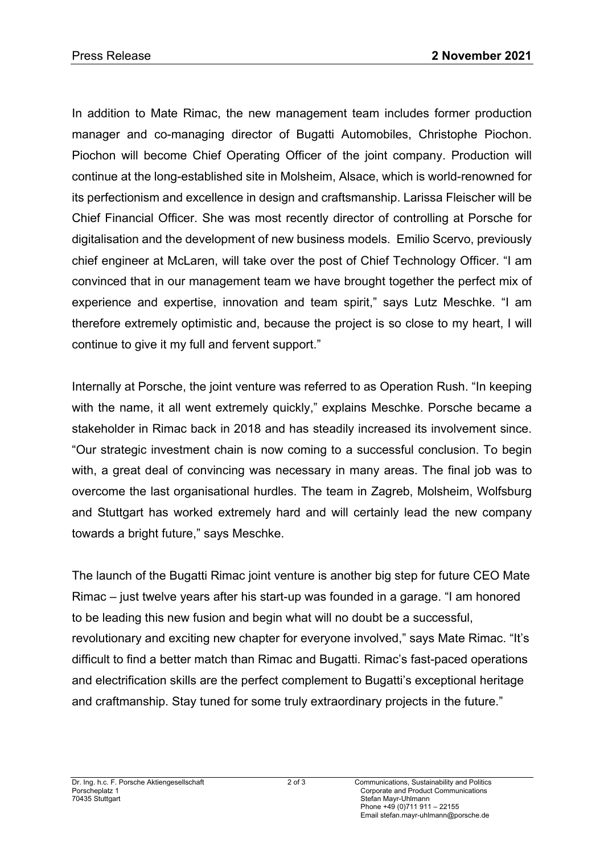In addition to Mate Rimac, the new management team includes former production manager and co-managing director of Bugatti Automobiles, Christophe Piochon. Piochon will become Chief Operating Officer of the joint company. Production will continue at the long-established site in Molsheim, Alsace, which is world-renowned for its perfectionism and excellence in design and craftsmanship. Larissa Fleischer will be Chief Financial Officer. She was most recently director of controlling at Porsche for digitalisation and the development of new business models. Emilio Scervo, previously chief engineer at McLaren, will take over the post of Chief Technology Officer. "I am convinced that in our management team we have brought together the perfect mix of experience and expertise, innovation and team spirit," says Lutz Meschke. "I am therefore extremely optimistic and, because the project is so close to my heart, I will continue to give it my full and fervent support."

Internally at Porsche, the joint venture was referred to as Operation Rush. "In keeping with the name, it all went extremely quickly," explains Meschke. Porsche became a stakeholder in Rimac back in 2018 and has steadily increased its involvement since. "Our strategic investment chain is now coming to a successful conclusion. To begin with, a great deal of convincing was necessary in many areas. The final job was to overcome the last organisational hurdles. The team in Zagreb, Molsheim, Wolfsburg and Stuttgart has worked extremely hard and will certainly lead the new company towards a bright future," says Meschke.

The launch of the Bugatti Rimac joint venture is another big step for future CEO Mate Rimac – just twelve years after his start-up was founded in a garage. "I am honored to be leading this new fusion and begin what will no doubt be a successful, revolutionary and exciting new chapter for everyone involved," says Mate Rimac. "It's difficult to find a better match than Rimac and Bugatti. Rimac's fast-paced operations and electrification skills are the perfect complement to Bugatti's exceptional heritage and craftmanship. Stay tuned for some truly extraordinary projects in the future."